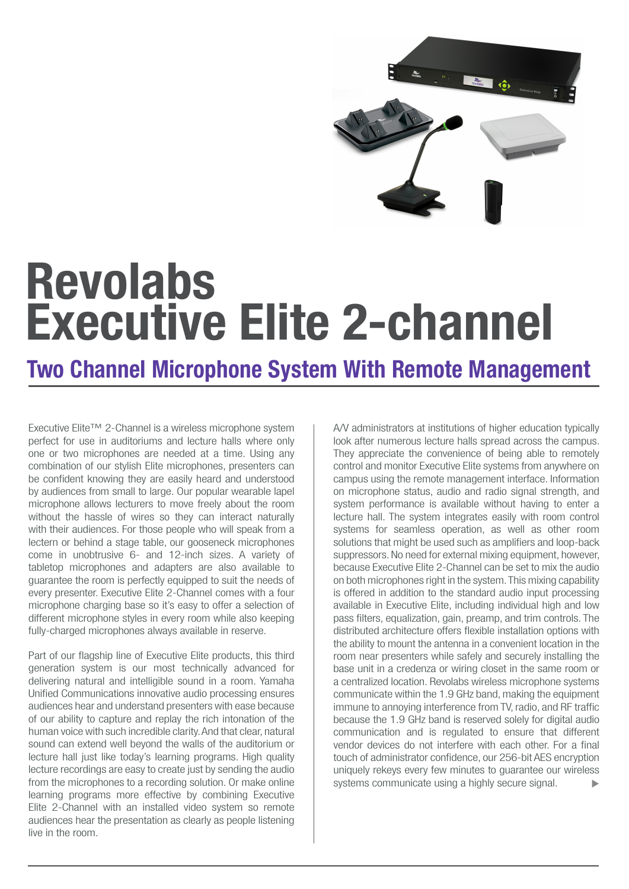

# Executive Elite 2-channel Revolabs

# Two Channel Microphone System With Remote Management

Executive Elite™ 2-Channel is a wireless microphone system perfect for use in auditoriums and lecture halls where only one or two microphones are needed at a time. Using any combination of our stylish Elite microphones, presenters can be confident knowing they are easily heard and understood by audiences from small to large. Our popular wearable lapel microphone allows lecturers to move freely about the room without the hassle of wires so they can interact naturally with their audiences. For those people who will speak from a lectern or behind a stage table, our gooseneck microphones come in unobtrusive 6- and 12-inch sizes. A variety of tabletop microphones and adapters are also available to guarantee the room is perfectly equipped to suit the needs of every presenter. Executive Elite 2-Channel comes with a four microphone charging base so it's easy to offer a selection of different microphone styles in every room while also keeping fully-charged microphones always available in reserve.

Part of our flagship line of Executive Elite products, this third generation system is our most technically advanced for delivering natural and intelligible sound in a room. Yamaha Unified Communications innovative audio processing ensures audiences hear and understand presenters with ease because of our ability to capture and replay the rich intonation of the human voice with such incredible clarity. And that clear, natural sound can extend well beyond the walls of the auditorium or lecture hall just like today's learning programs. High quality lecture recordings are easy to create just by sending the audio from the microphones to a recording solution. Or make online learning programs more effective by combining Executive Elite 2-Channel with an installed video system so remote audiences hear the presentation as clearly as people listening live in the room.

A/V administrators at institutions of higher education typically look after numerous lecture halls spread across the campus. They appreciate the convenience of being able to remotely control and monitor Executive Elite systems from anywhere on campus using the remote management interface. Information on microphone status, audio and radio signal strength, and system performance is available without having to enter a lecture hall. The system integrates easily with room control systems for seamless operation, as well as other room solutions that might be used such as amplifiers and loop-back suppressors. No need for external mixing equipment, however, because Executive Elite 2-Channel can be set to mix the audio on both microphones right in the system. This mixing capability is offered in addition to the standard audio input processing available in Executive Elite, including individual high and low pass filters, equalization, gain, preamp, and trim controls. The distributed architecture offers flexible installation options with the ability to mount the antenna in a convenient location in the room near presenters while safely and securely installing the base unit in a credenza or wiring closet in the same room or a centralized location. Revolabs wireless microphone systems communicate within the 1.9 GHz band, making the equipment immune to annoying interference from TV, radio, and RF traffic because the 1.9 GHz band is reserved solely for digital audio communication and is regulated to ensure that different vendor devices do not interfere with each other. For a final touch of administrator confidence, our 256-bit AES encryption uniquely rekeys every few minutes to guarantee our wireless systems communicate using a highly secure signal.